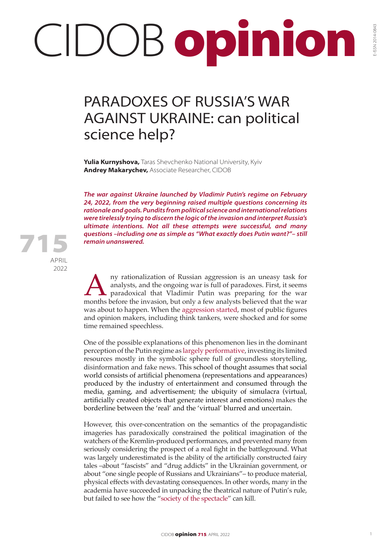## CIDOB opinion

## PARADOXES OF RUSSIA'S WAR AGAINST UKRAINE: can political science help?

**Yulia Kurnyshova,** Taras Shevchenko National University, Kyiv **Andrey Makarychev,** Associate Researcher, CIDOB

APRIL 2022

715

*The war against Ukraine launched by Vladimir Putin's regime on February 24, 2022, from the very beginning raised multiple questions concerning its rationale and goals. Pundits from political science and international relations were tirelessly trying to discern the logic of the invasion and interpret Russia's ultimate intentions. Not all these attempts were successful, and many questions –including one as simple as "What exactly does Putin want?"– still remain unanswered.*

A ny rationalization of Russian aggression is an uneasy task for analysts, and the ongoing war is full of paradoxes. First, it seems paradoxical that Vladimir Putin was preparing for the war months before the invasion, but analysts, and the ongoing war is full of paradoxes. First, it seems paradoxical that Vladimir Putin was preparing for the war months before the invasion, but only a few analysts believed that the war was about to happen. When the [aggression started](https://news.sky.com/story/ukraine-invasion-kremlin-policy-adviser-reveals-his-shock-over-vladimir-putins-decision-to-invade-12555163), most of public figures and opinion makers, including think tankers, were shocked and for some time remained speechless.

One of the possible explanations of this phenomenon lies in the dominant perception of the Putin regime as [largely performative,](https://www.cambridge.org/core/journals/slavic-review/article/resurrection-by-surrogation-spectral-performance-in-putins-russia/9F9FA2206A34EEB9964B1275507F2A86) investing its limited resources mostly in the symbolic sphere full of groundless storytelling, disinformation and fake news. This school of thought assumes that social world consists of artificial phenomena (representations and appearances) produced by the industry of entertainment and consumed through the media, gaming, and advertisement; the ubiquity of simulacra (virtual, artificially created objects that generate interest and emotions) makes the borderline between the 'real' and the 'virtual' blurred and uncertain.

However, this over-concentration on the semantics of the propagandistic imageries has paradoxically constrained the political imagination of the watchers of the Kremlin-produced performances, and prevented many from seriously considering the prospect of a real fight in the battleground. What was largely underestimated is the ability of the artificially constructed fairy tales –about "fascists" and "drug addicts" in the Ukrainian government, or about "one single people of Russians and Ukrainians"– to produce material, physical effects with devastating consequences. In other words, many in the academia have succeeded in unpacking the theatrical nature of Putin's rule, but failed to see how the ["society of the spectacle"](https://monoskop.org/images/e/e4/Debord_Guy_Society_of_the_Spectacle_1970.pdf) can kill.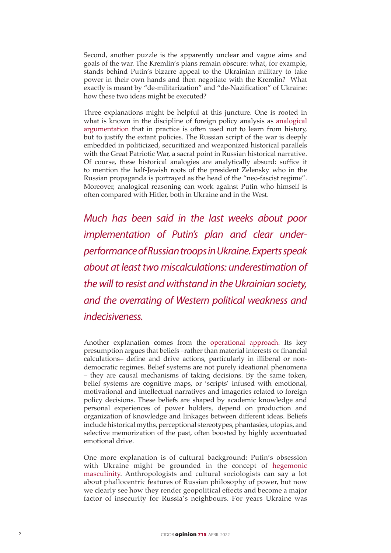Second, another puzzle is the apparently unclear and vague aims and goals of the war. The Kremlin's plans remain obscure: what, for example, stands behind Putin's bizarre appeal to the Ukrainian military to take power in their own hands and then negotiate with the Kremlin? What exactly is meant by "de-militarization" and "de-Nazification" of Ukraine: how these two ideas might be executed?

Three explanations might be helpful at this juncture. One is rooted in what is known in the discipline of foreign policy analysis as analogical [argumentation](https://journals.sagepub.com/doi/full/10.1177/1354066120987889) that in practice is often used not to learn from history, but to justify the extant policies. The Russian script of the war is deeply embedded in politicized, securitized and weaponized historical parallels with the Great Patriotic War, a sacral point in Russian historical narrative. Of course, these historical analogies are analytically absurd: suffice it to mention the half-Jewish roots of the president Zelensky who in the Russian propaganda is portrayed as the head of the "neo-fascist regime". Moreover, analogical reasoning can work against Putin who himself is often compared with Hitler, both in Ukraine and in the West.

*Much has been said in the last weeks about poor implementation of Putin's plan and clear underperformance of Russian troops in Ukraine. Experts speak about at least two miscalculations: underestimation of the will to resist and withstand in the Ukrainian society, and the overrating of Western political weakness and indecisiveness.*

Another explanation comes from the [operational approach](https://www.jstor.org/stable/3791696). Its key presumption argues that beliefs –rather than material interests or financial calculations– define and drive actions, particularly in illiberal or nondemocratic regimes. Belief systems are not purely ideational phenomena – they are causal mechanisms of taking decisions. By the same token, belief systems are cognitive maps, or 'scripts' infused with emotional, motivational and intellectual narratives and imageries related to foreign policy decisions. These beliefs are shaped by academic knowledge and personal experiences of power holders, depend on production and organization of knowledge and linkages between different ideas. Beliefs include historical myths, perceptional stereotypes, phantasies, utopias, and selective memorization of the past, often boosted by highly accentuated emotional drive.

One more explanation is of cultural background: Putin's obsession with Ukraine might be grounded in the concept of [hegemonic](https://www.eurozine.com/capitalism-autocracy-and-political-masculinities-in-russia/)  [masculinity](https://www.eurozine.com/capitalism-autocracy-and-political-masculinities-in-russia/). Anthropologists and cultural sociologists can say a lot about phallocentric features of Russian philosophy of power, but now we clearly see how they render geopolitical effects and become a major factor of insecurity for Russia's neighbours. For years Ukraine was